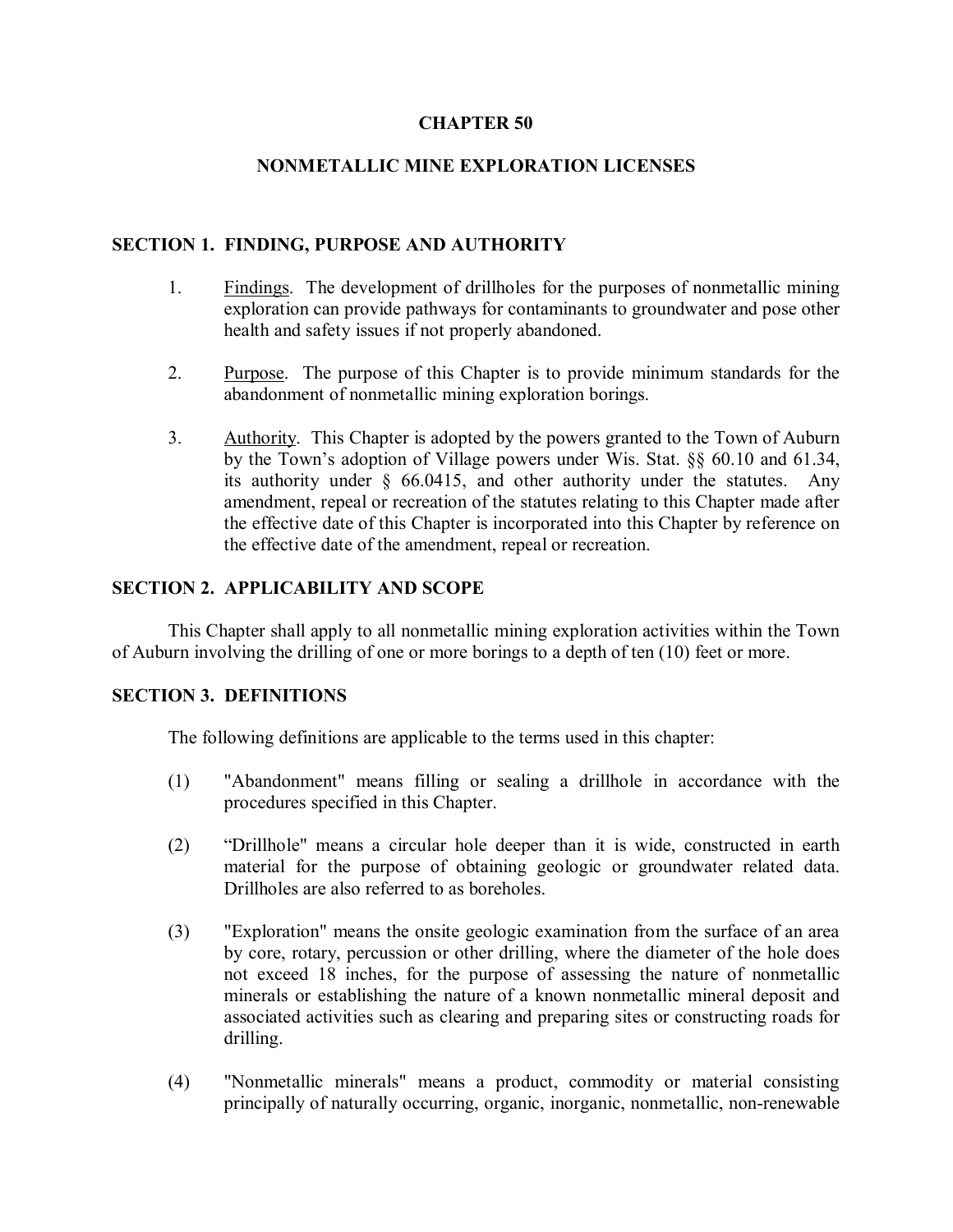#### **CHAPTER 50**

### **NONMETALLIC MINE EXPLORATION LICENSES**

#### **SECTION 1. FINDING, PURPOSE AND AUTHORITY**

- 1. Findings. The development of drillholes for the purposes of nonmetallic mining exploration can provide pathways for contaminants to groundwater and pose other health and safety issues if not properly abandoned.
- 2. Purpose. The purpose of this Chapter is to provide minimum standards for the abandonment of nonmetallic mining exploration borings.
- 3. Authority. This Chapter is adopted by the powers granted to the Town of Auburn by the Town's adoption of Village powers under Wis. Stat. §§ 60.10 and 61.34, its authority under § 66.0415, and other authority under the statutes. Any amendment, repeal or recreation of the statutes relating to this Chapter made after the effective date of this Chapter is incorporated into this Chapter by reference on the effective date of the amendment, repeal or recreation.

### **SECTION 2. APPLICABILITY AND SCOPE**

This Chapter shall apply to all nonmetallic mining exploration activities within the Town of Auburn involving the drilling of one or more borings to a depth of ten (10) feet or more.

#### **SECTION 3. DEFINITIONS**

The following definitions are applicable to the terms used in this chapter:

- (1) "Abandonment" means filling or sealing a drillhole in accordance with the procedures specified in this Chapter.
- (2) "Drillhole" means a circular hole deeper than it is wide, constructed in earth material for the purpose of obtaining geologic or groundwater related data. Drillholes are also referred to as boreholes.
- (3) "Exploration" means the onsite geologic examination from the surface of an area by core, rotary, percussion or other drilling, where the diameter of the hole does not exceed 18 inches, for the purpose of assessing the nature of nonmetallic minerals or establishing the nature of a known nonmetallic mineral deposit and associated activities such as clearing and preparing sites or constructing roads for drilling.
- (4) "Nonmetallic minerals" means a product, commodity or material consisting principally of naturally occurring, organic, inorganic, nonmetallic, non-renewable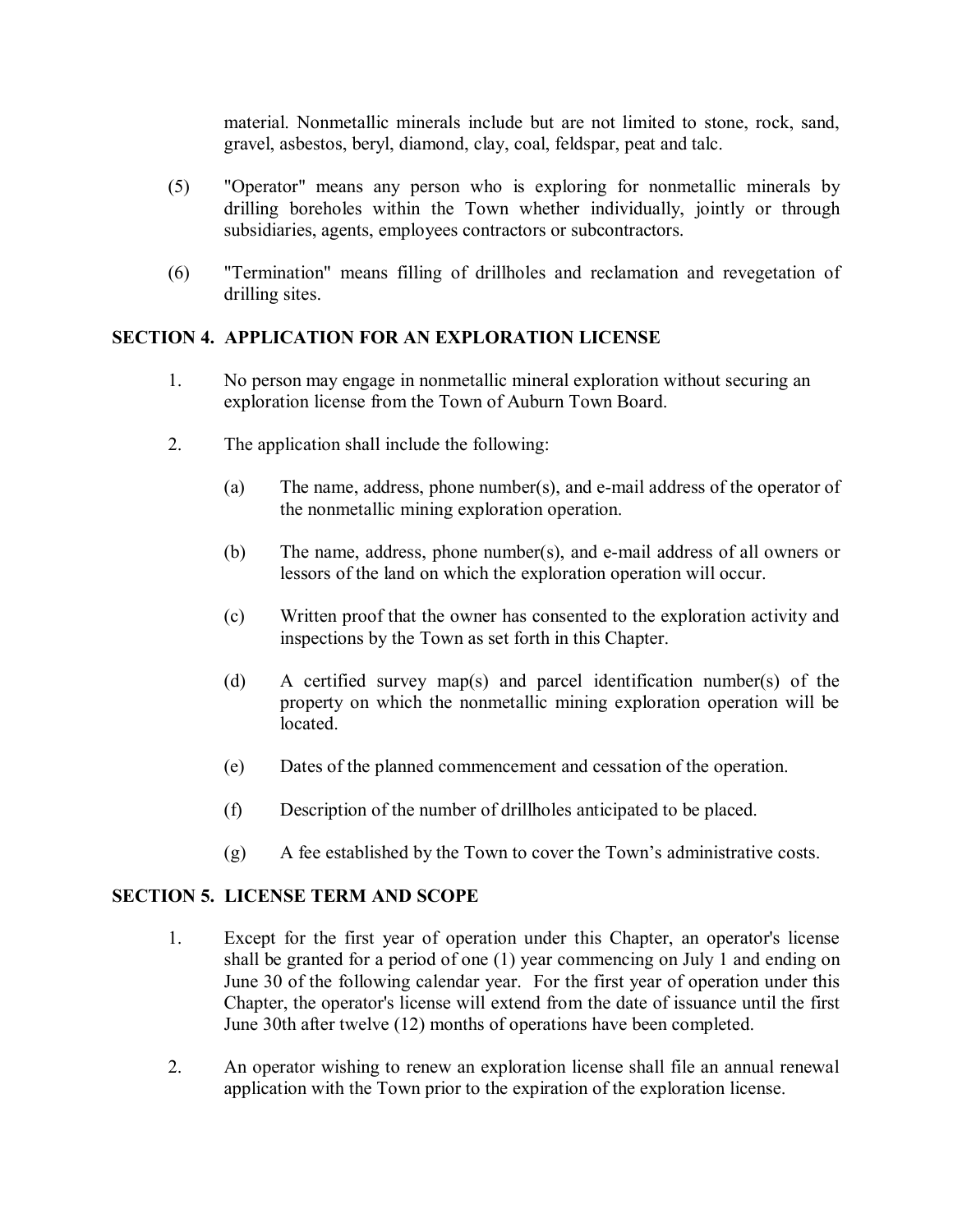material. Nonmetallic minerals include but are not limited to stone, rock, sand, gravel, asbestos, beryl, diamond, clay, coal, feldspar, peat and talc.

- (5) "Operator" means any person who is exploring for nonmetallic minerals by drilling boreholes within the Town whether individually, jointly or through subsidiaries, agents, employees contractors or subcontractors.
- (6) "Termination" means filling of drillholes and reclamation and revegetation of drilling sites.

# **SECTION 4. APPLICATION FOR AN EXPLORATION LICENSE**

- 1. No person may engage in nonmetallic mineral exploration without securing an exploration license from the Town of Auburn Town Board.
- 2. The application shall include the following:
	- (a) The name, address, phone number(s), and e-mail address of the operator of the nonmetallic mining exploration operation.
	- (b) The name, address, phone number(s), and e-mail address of all owners or lessors of the land on which the exploration operation will occur.
	- (c) Written proof that the owner has consented to the exploration activity and inspections by the Town as set forth in this Chapter.
	- (d) A certified survey map(s) and parcel identification number(s) of the property on which the nonmetallic mining exploration operation will be located.
	- (e) Dates of the planned commencement and cessation of the operation.
	- (f) Description of the number of drillholes anticipated to be placed.
	- (g) A fee established by the Town to cover the Town's administrative costs.

## **SECTION 5. LICENSE TERM AND SCOPE**

- 1. Except for the first year of operation under this Chapter, an operator's license shall be granted for a period of one (1) year commencing on July 1 and ending on June 30 of the following calendar year. For the first year of operation under this Chapter, the operator's license will extend from the date of issuance until the first June 30th after twelve (12) months of operations have been completed.
- 2. An operator wishing to renew an exploration license shall file an annual renewal application with the Town prior to the expiration of the exploration license.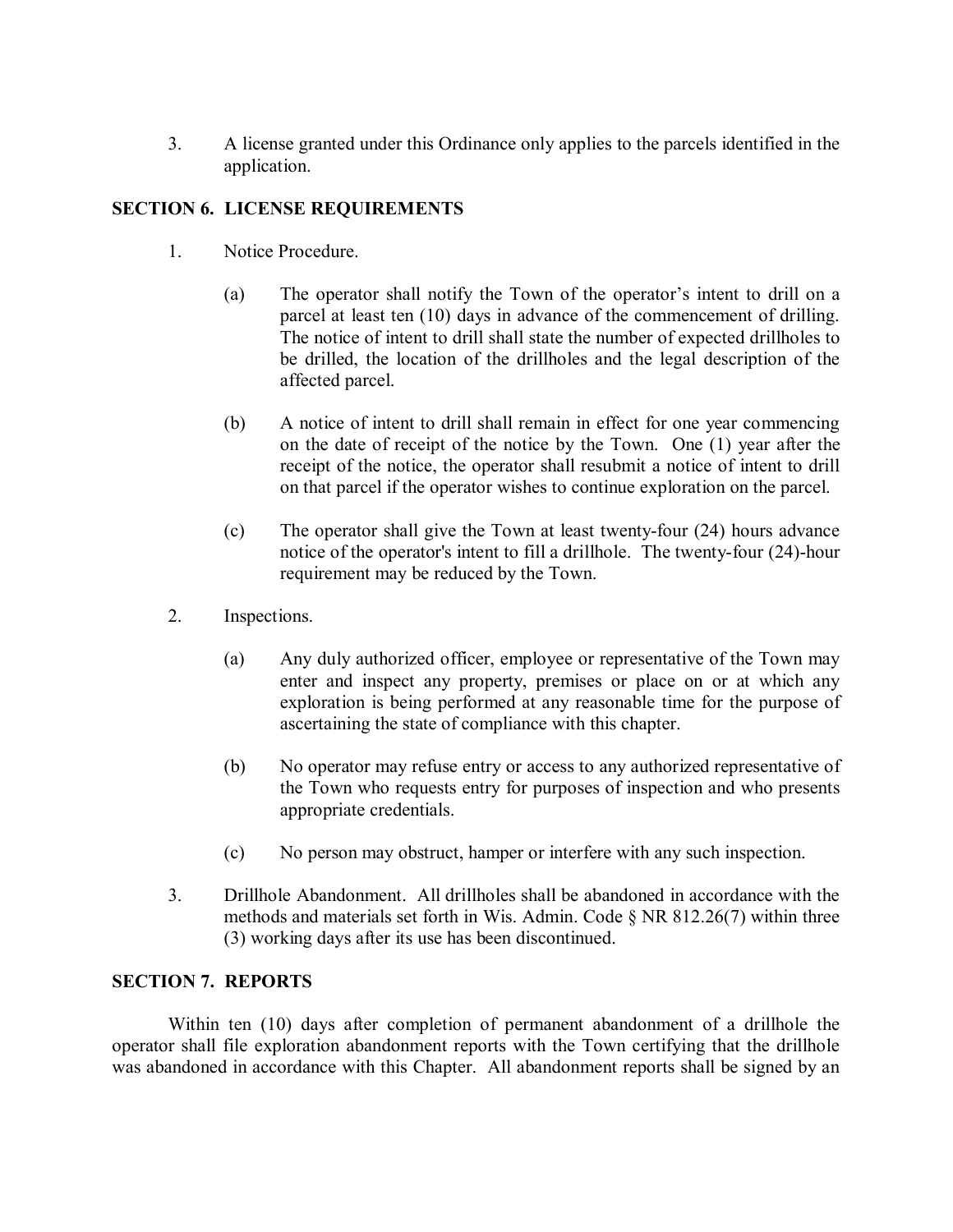3. A license granted under this Ordinance only applies to the parcels identified in the application.

## **SECTION 6. LICENSE REQUIREMENTS**

- 1. Notice Procedure.
	- (a) The operator shall notify the Town of the operator's intent to drill on a parcel at least ten (10) days in advance of the commencement of drilling. The notice of intent to drill shall state the number of expected drillholes to be drilled, the location of the drillholes and the legal description of the affected parcel.
	- (b) A notice of intent to drill shall remain in effect for one year commencing on the date of receipt of the notice by the Town. One (1) year after the receipt of the notice, the operator shall resubmit a notice of intent to drill on that parcel if the operator wishes to continue exploration on the parcel.
	- (c) The operator shall give the Town at least twenty-four (24) hours advance notice of the operator's intent to fill a drillhole. The twenty-four (24)-hour requirement may be reduced by the Town.
- 2. Inspections.
	- (a) Any duly authorized officer, employee or representative of the Town may enter and inspect any property, premises or place on or at which any exploration is being performed at any reasonable time for the purpose of ascertaining the state of compliance with this chapter.
	- (b) No operator may refuse entry or access to any authorized representative of the Town who requests entry for purposes of inspection and who presents appropriate credentials.
	- (c) No person may obstruct, hamper or interfere with any such inspection.
- 3. Drillhole Abandonment. All drillholes shall be abandoned in accordance with the methods and materials set forth in Wis. Admin. Code § NR 812.26(7) within three (3) working days after its use has been discontinued.

## **SECTION 7. REPORTS**

Within ten (10) days after completion of permanent abandonment of a drillhole the operator shall file exploration abandonment reports with the Town certifying that the drillhole was abandoned in accordance with this Chapter. All abandonment reports shall be signed by an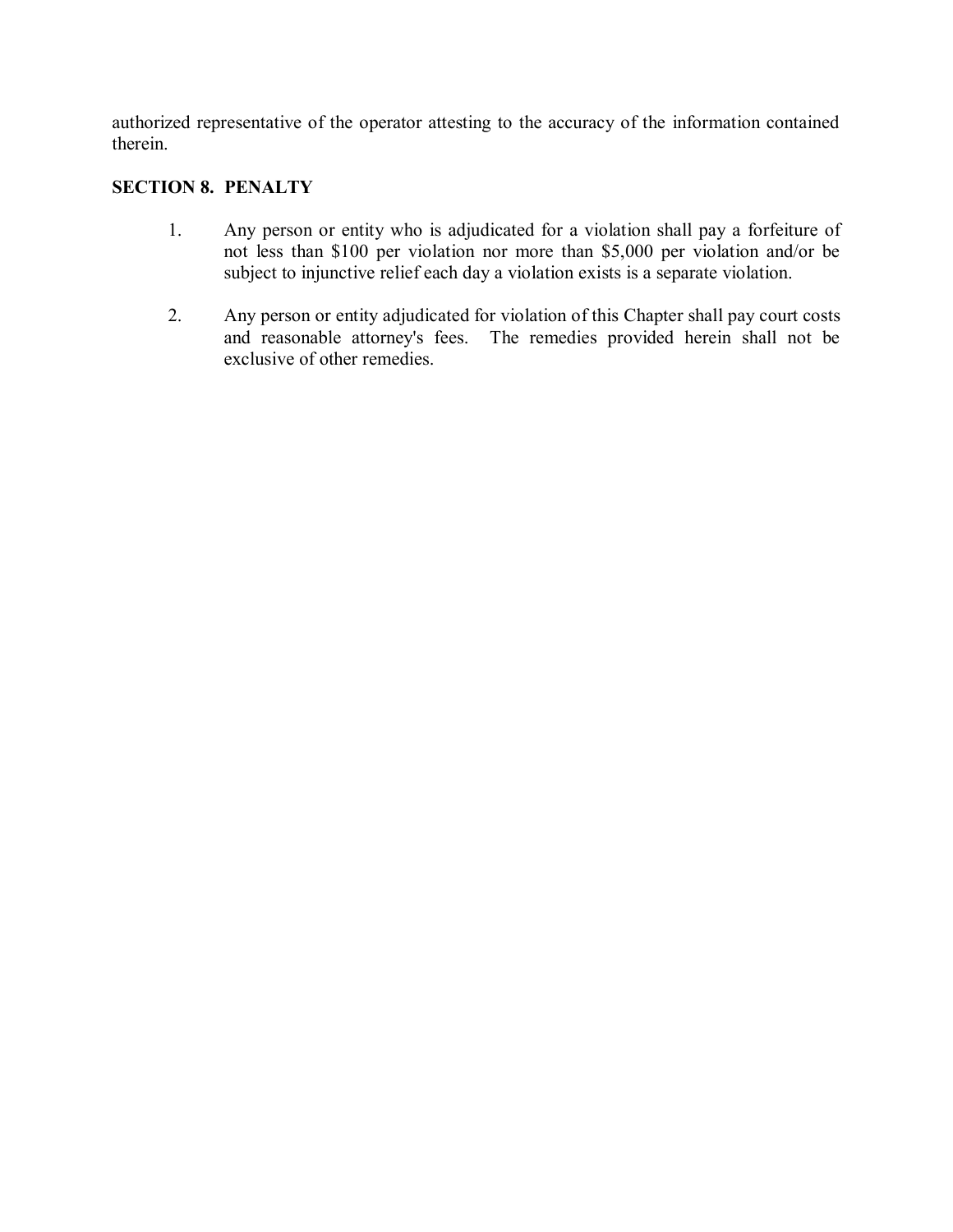authorized representative of the operator attesting to the accuracy of the information contained therein.

# **SECTION 8. PENALTY**

- 1. Any person or entity who is adjudicated for a violation shall pay a forfeiture of not less than \$100 per violation nor more than \$5,000 per violation and/or be subject to injunctive relief each day a violation exists is a separate violation.
- 2. Any person or entity adjudicated for violation of this Chapter shall pay court costs and reasonable attorney's fees. The remedies provided herein shall not be exclusive of other remedies.